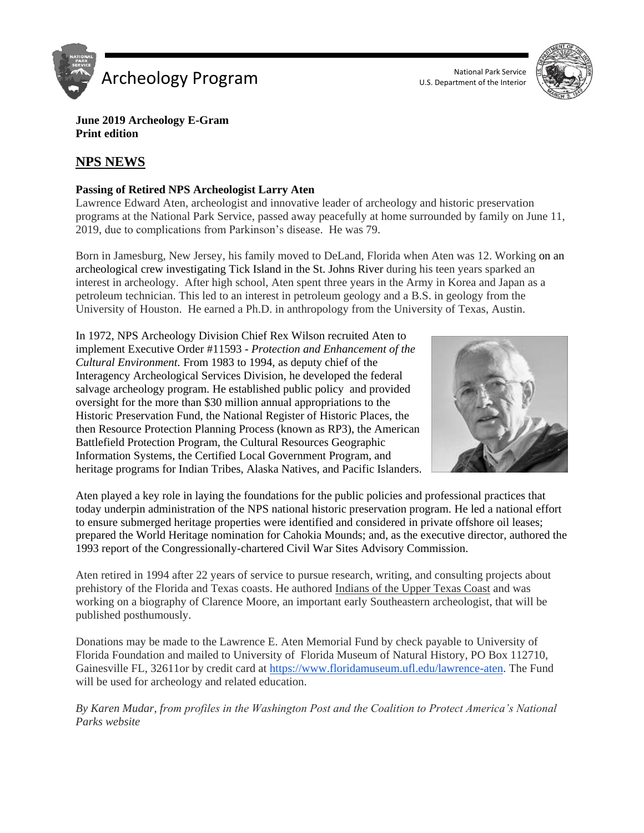

U.S. Department of the Interior



**June 2019 Archeology E-Gram Print edition**

## **NPS NEWS**

#### **Passing of Retired NPS Archeologist Larry Aten**

Lawrence Edward Aten, archeologist and innovative leader of archeology and historic preservation programs at the National Park Service, passed away peacefully at home surrounded by family on June 11, 2019, due to complications from Parkinson's disease. He was 79.

Born in Jamesburg, New Jersey, his family moved to DeLand, Florida when Aten was 12. Working on an archeological crew investigating Tick Island in the St. Johns River during his teen years sparked an interest in archeology. After high school, Aten spent three years in the Army in Korea and Japan as a petroleum technician. This led to an interest in petroleum geology and a B.S. in geology from the University of Houston. He earned a Ph.D. in anthropology from the University of Texas, Austin.

In 1972, NPS Archeology Division Chief Rex Wilson recruited Aten to implement Executive Order #11593 - *Protection and Enhancement of the Cultural Environment.* From 1983 to 1994, as deputy chief of the Interagency Archeological Services Division, he developed the federal salvage archeology program. He established public policy and provided oversight for the more than \$30 million annual appropriations to the Historic Preservation Fund, the National Register of Historic Places, the then Resource Protection Planning Process (known as RP3), the American Battlefield Protection Program, the Cultural Resources Geographic Information Systems, the Certified Local Government Program, and heritage programs for Indian Tribes, Alaska Natives, and Pacific Islanders.



Aten played a key role in laying the foundations for the public policies and professional practices that today underpin administration of the NPS national historic preservation program. He led a national effort to ensure submerged heritage properties were identified and considered in private offshore oil leases; prepared the World Heritage nomination for Cahokia Mounds; and, as the executive director, authored the 1993 report of the Congressionally-chartered Civil War Sites Advisory Commission.

Aten retired in 1994 after 22 years of service to pursue research, writing, and consulting projects about prehistory of the Florida and Texas coasts. He authored Indians of the Upper Texas Coast and was working on a biography of Clarence Moore, an important early Southeastern archeologist, that will be published posthumously.

Donations may be made to the Lawrence E. Aten Memorial Fund by check payable to University of Florida Foundation and mailed to University of Florida Museum of Natural History, PO Box 112710, Gainesville FL, 32611or by credit card at [https://www.floridamuseum.ufl.edu/lawrence-aten.](https://www.floridamuseum.ufl.edu/lawrence-aten) The Fund will be used for archeology and related education.

*By Karen Mudar, from profiles in the Washington Post and the Coalition to Protect America's National Parks website*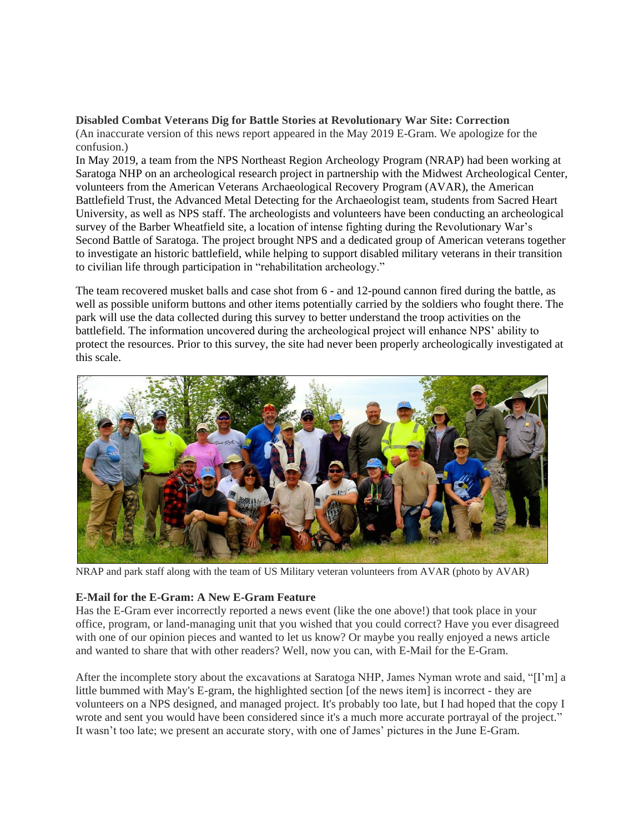## **Disabled Combat Veterans Dig for Battle Stories at Revolutionary War Site: Correction**

(An inaccurate version of this news report appeared in the May 2019 E-Gram. We apologize for the confusion.)

In May 2019, a team from the NPS Northeast Region Archeology Program (NRAP) had been working at Saratoga NHP on an archeological research project in partnership with the Midwest Archeological Center, volunteers from the American Veterans Archaeological Recovery Program (AVAR), the American Battlefield Trust, the Advanced Metal Detecting for the Archaeologist team, students from Sacred Heart University, as well as NPS staff. The archeologists and volunteers have been conducting an archeological survey of the Barber Wheatfield site, a location of intense fighting during the Revolutionary War's Second Battle of Saratoga. The project brought NPS and a dedicated group of American veterans together to investigate an historic battlefield, while helping to support disabled military veterans in their transition to civilian life through participation in "rehabilitation archeology."

The team recovered musket balls and case shot from 6 - and 12-pound cannon fired during the battle, as well as possible uniform buttons and other items potentially carried by the soldiers who fought there. The park will use the data collected during this survey to better understand the troop activities on the battlefield. The information uncovered during the archeological project will enhance NPS' ability to protect the resources. Prior to this survey, the site had never been properly archeologically investigated at this scale.



NRAP and park staff along with the team of US Military veteran volunteers from AVAR (photo by AVAR)

#### **E-Mail for the E-Gram: A New E-Gram Feature**

Has the E-Gram ever incorrectly reported a news event (like the one above!) that took place in your office, program, or land-managing unit that you wished that you could correct? Have you ever disagreed with one of our opinion pieces and wanted to let us know? Or maybe you really enjoyed a news article and wanted to share that with other readers? Well, now you can, with E-Mail for the E-Gram.

After the incomplete story about the excavations at Saratoga NHP, James Nyman wrote and said, "[I'm] a little bummed with May's E-gram, the highlighted section [of the news item] is incorrect - they are volunteers on a NPS designed, and managed project. It's probably too late, but I had hoped that the copy I wrote and sent you would have been considered since it's a much more accurate portrayal of the project." It wasn't too late; we present an accurate story, with one of James' pictures in the June E-Gram.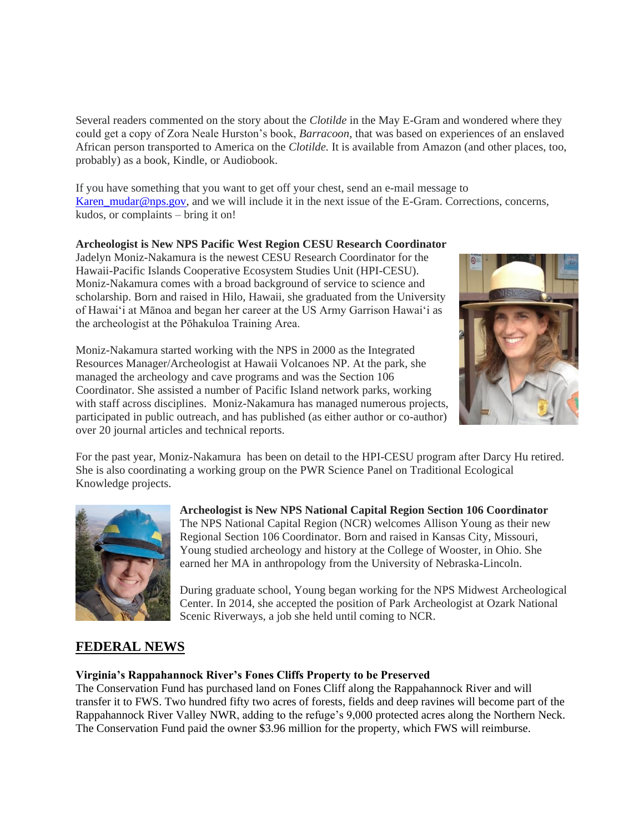Several readers commented on the story about the *Clotilde* in the May E-Gram and wondered where they could get a copy of Zora Neale Hurston's book, *Barracoon*, that was based on experiences of an enslaved African person transported to America on the *Clotilde.* It is available from Amazon (and other places, too, probably) as a book, Kindle, or Audiobook.

If you have something that you want to get off your chest, send an e-mail message to [Karen\\_mudar@nps.gov,](mailto:Karen_mudar@nps.gov) and we will include it in the next issue of the E-Gram. Corrections, concerns, kudos, or complaints – bring it on!

# **Archeologist is New NPS Pacific West Region CESU Research Coordinator**

Jadelyn Moniz-Nakamura is the newest CESU Research Coordinator for the Hawaii-Pacific Islands Cooperative Ecosystem Studies Unit (HPI-CESU). Moniz-Nakamura comes with a broad background of service to science and scholarship. Born and raised in Hilo, Hawaii, she graduated from the University of Hawai'i at Mānoa and began her career at the US Army Garrison Hawai'i as the archeologist at the Pōhakuloa Training Area.



Moniz-Nakamura started working with the NPS in 2000 as the Integrated Resources Manager/Archeologist at Hawaii Volcanoes NP. At the park, she managed the archeology and cave programs and was the Section 106 Coordinator. She assisted a number of Pacific Island network parks, working with staff across disciplines. Moniz-Nakamura has managed numerous projects, participated in public outreach, and has published (as either author or co-author) over 20 journal articles and technical reports.

For the past year, Moniz-Nakamura has been on detail to the HPI-CESU program after Darcy Hu retired. She is also coordinating a working group on the PWR Science Panel on Traditional Ecological Knowledge projects.



**Archeologist is New NPS National Capital Region Section 106 Coordinator** The NPS National Capital Region (NCR) welcomes Allison Young as their new Regional Section 106 Coordinator. Born and raised in Kansas City, Missouri, Young studied archeology and history at the College of Wooster, in Ohio. She earned her MA in anthropology from the University of Nebraska-Lincoln.

During graduate school, Young began working for the NPS Midwest Archeological Center. In 2014, she accepted the position of Park Archeologist at Ozark National Scenic Riverways, a job she held until coming to NCR.

# **FEDERAL NEWS**

### **Virginia's Rappahannock River's Fones Cliffs Property to be Preserved**

The Conservation Fund has purchased land on Fones Cliff along the Rappahannock River and will transfer it to FWS. Two hundred fifty two acres of forests, fields and deep ravines will become part of the Rappahannock River Valley NWR, adding to the refuge's 9,000 protected acres along the Northern Neck. The Conservation Fund paid the owner \$3.96 million for the property, which FWS will reimburse.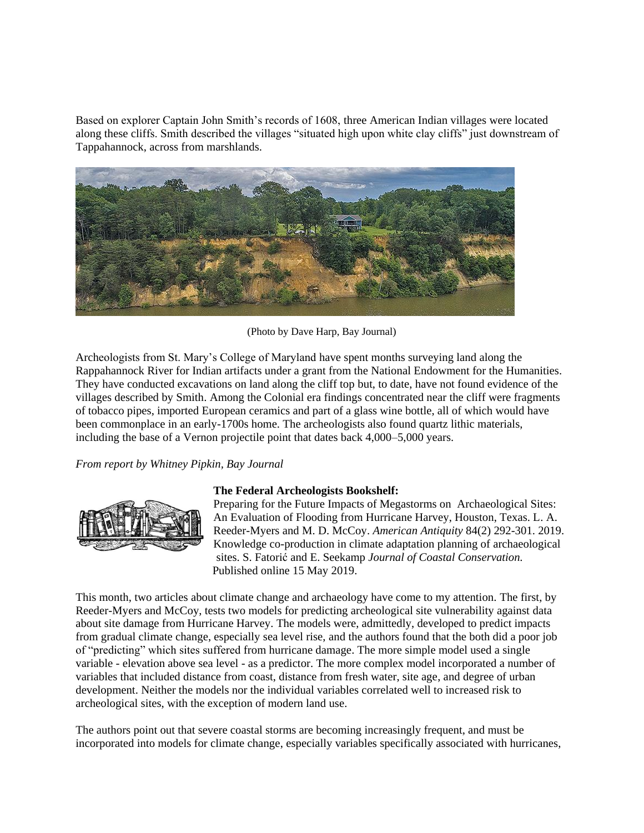Based on explorer Captain John Smith's records of 1608, three American Indian villages were located along these cliffs. Smith described the villages "situated high upon white clay cliffs" just downstream of Tappahannock, across from marshlands.



(Photo by Dave Harp, Bay Journal)

Archeologists from St. Mary's College of Maryland have spent months surveying land along the Rappahannock River for Indian artifacts under a grant from the National Endowment for the Humanities. They have conducted excavations on land along the cliff top but, to date, have not found evidence of the villages described by Smith. Among the Colonial era findings concentrated near the cliff were fragments of tobacco pipes, imported European ceramics and part of a glass wine bottle, all of which would have been commonplace in an early-1700s home. The archeologists also found quartz lithic materials, including the base of a Vernon projectile point that dates back 4,000–5,000 years.

#### *From report by Whitney Pipkin, Bay Journal*



#### **The Federal Archeologists Bookshelf:**

Preparing for the Future Impacts of Megastorms on Archaeological Sites: An Evaluation of Flooding from Hurricane Harvey, Houston, Texas. L. A. Reeder-Myers and M. D. McCoy. *American Antiquity* 84(2) 292-301. 2019. Knowledge co-production in climate adaptation planning of archaeological sites. S. Fatorić and E. Seekamp *Journal of Coastal Conservation.* Published online 15 May 2019.

This month, two articles about climate change and archaeology have come to my attention. The first, by Reeder-Myers and McCoy, tests two models for predicting archeological site vulnerability against data about site damage from Hurricane Harvey. The models were, admittedly, developed to predict impacts from gradual climate change, especially sea level rise, and the authors found that the both did a poor job of "predicting" which sites suffered from hurricane damage. The more simple model used a single variable - elevation above sea level - as a predictor. The more complex model incorporated a number of variables that included distance from coast, distance from fresh water, site age, and degree of urban development. Neither the models nor the individual variables correlated well to increased risk to archeological sites, with the exception of modern land use.

The authors point out that severe coastal storms are becoming increasingly frequent, and must be incorporated into models for climate change, especially variables specifically associated with hurricanes,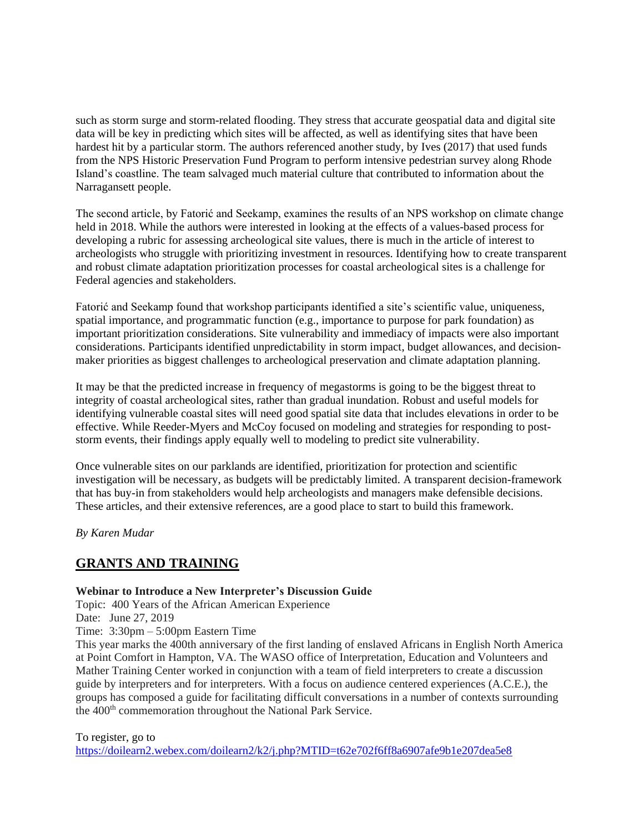such as storm surge and storm-related flooding. They stress that accurate geospatial data and digital site data will be key in predicting which sites will be affected, as well as identifying sites that have been hardest hit by a particular storm. The authors referenced another study, by Ives (2017) that used funds from the NPS Historic Preservation Fund Program to perform intensive pedestrian survey along Rhode Island's coastline. The team salvaged much material culture that contributed to information about the Narragansett people.

The second article, by Fatorić and Seekamp, examines the results of an NPS workshop on climate change held in 2018. While the authors were interested in looking at the effects of a values-based process for developing a rubric for assessing archeological site values, there is much in the article of interest to archeologists who struggle with prioritizing investment in resources. Identifying how to create transparent and robust climate adaptation prioritization processes for coastal archeological sites is a challenge for Federal agencies and stakeholders.

Fatorić and Seekamp found that workshop participants identified a site's scientific value, uniqueness, spatial importance, and programmatic function (e.g., importance to purpose for park foundation) as important prioritization considerations. Site vulnerability and immediacy of impacts were also important considerations. Participants identified unpredictability in storm impact, budget allowances, and decisionmaker priorities as biggest challenges to archeological preservation and climate adaptation planning.

It may be that the predicted increase in frequency of megastorms is going to be the biggest threat to integrity of coastal archeological sites, rather than gradual inundation. Robust and useful models for identifying vulnerable coastal sites will need good spatial site data that includes elevations in order to be effective. While Reeder-Myers and McCoy focused on modeling and strategies for responding to poststorm events, their findings apply equally well to modeling to predict site vulnerability.

Once vulnerable sites on our parklands are identified, prioritization for protection and scientific investigation will be necessary, as budgets will be predictably limited. A transparent decision-framework that has buy-in from stakeholders would help archeologists and managers make defensible decisions. These articles, and their extensive references, are a good place to start to build this framework.

*By Karen Mudar*

## **GRANTS AND TRAINING**

#### **Webinar to Introduce a New Interpreter's Discussion Guide**

Topic: 400 Years of the African American Experience

Date: June 27, 2019

Time: 3:30pm – 5:00pm Eastern Time

This year marks the 400th anniversary of the first landing of enslaved Africans in English North America at Point Comfort in Hampton, VA. The WASO office of Interpretation, Education and Volunteers and Mather Training Center worked in conjunction with a team of field interpreters to create a discussion guide by interpreters and for interpreters. With a focus on audience centered experiences (A.C.E.), the groups has composed a guide for facilitating difficult conversations in a number of contexts surrounding the 400<sup>th</sup> commemoration throughout the National Park Service.

To register, go to

[https://doilearn2.webex.com/doilearn2/k2/j.php?MTID=t62e702f6ff8a6907afe9b1e207dea5e8](https://www.google.com/url?q=https%3A%2F%2Fdoilearn2.webex.com%2Fdoilearn2%2Fk2%2Fj.php%3FMTID%3Dt62e702f6ff8a6907afe9b1e207dea5e8&sa=D&sntz=1&usg=AFQjCNHSRoTrOQWI33Qa8v10pGYD73iXgg)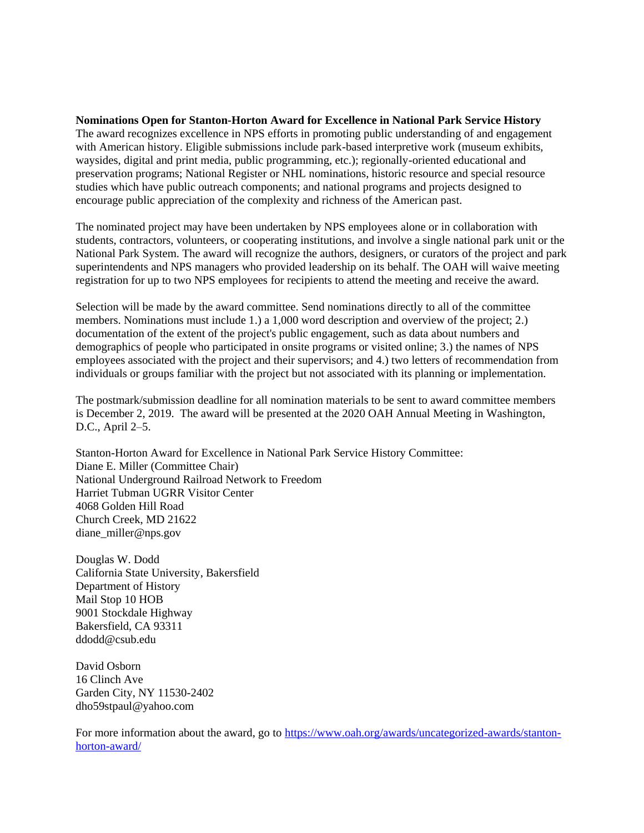#### **Nominations Open for Stanton-Horton Award for Excellence in National Park Service History**

The award recognizes excellence in NPS efforts in promoting public understanding of and engagement with American history. Eligible submissions include park-based interpretive work (museum exhibits, waysides, digital and print media, public programming, etc.); regionally-oriented educational and preservation programs; National Register or NHL nominations, historic resource and special resource studies which have public outreach components; and national programs and projects designed to encourage public appreciation of the complexity and richness of the American past.

The nominated project may have been undertaken by NPS employees alone or in collaboration with students, contractors, volunteers, or cooperating institutions, and involve a single national park unit or the National Park System. The award will recognize the authors, designers, or curators of the project and park superintendents and NPS managers who provided leadership on its behalf. The OAH will waive meeting registration for up to two NPS employees for recipients to attend the meeting and receive the award.

Selection will be made by the award committee. Send nominations directly to all of the committee members. Nominations must include 1.) a 1,000 word description and overview of the project; 2.) documentation of the extent of the project's public engagement, such as data about numbers and demographics of people who participated in onsite programs or visited online; 3.) the names of NPS employees associated with the project and their supervisors; and 4.) two letters of recommendation from individuals or groups familiar with the project but not associated with its planning or implementation.

The postmark/submission deadline for all nomination materials to be sent to award committee members is December 2, 2019. The award will be presented at the 2020 OAH Annual Meeting in Washington, D.C., April 2–5.

Stanton-Horton Award for Excellence in National Park Service History Committee: Diane E. Miller (Committee Chair) National Underground Railroad Network to Freedom Harriet Tubman UGRR Visitor Center 4068 Golden Hill Road Church Creek, MD 21622 diane\_miller@nps.gov

Douglas W. Dodd California State University, Bakersfield Department of History Mail Stop 10 HOB 9001 Stockdale Highway Bakersfield, CA 93311 ddodd@csub.edu

David Osborn 16 Clinch Ave Garden City, NY 11530-2402 dho59stpaul@yahoo.com

For more information about the award, go to [https://www.oah.org/awards/uncategorized-awards/stanton](https://www.oah.org/awards/uncategorized-awards/stanton-horton-award/)[horton-award/](https://www.oah.org/awards/uncategorized-awards/stanton-horton-award/)